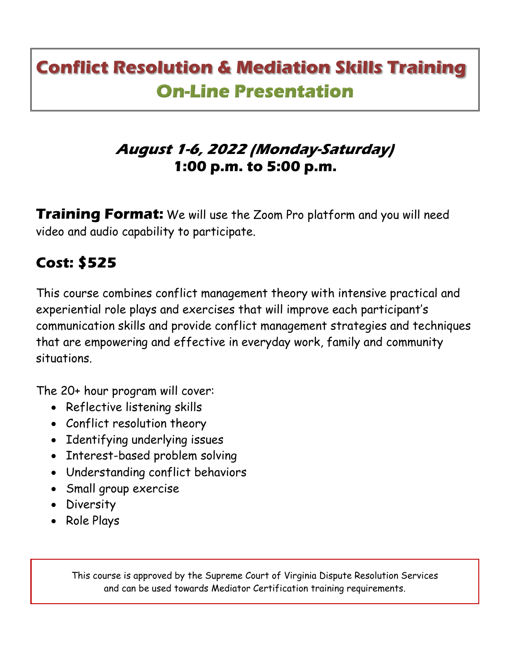# **Conflict Resolution & Mediation Skills Training On-Line Presentation**

### **August 1-6, 2022 (Monday-Saturday) 1:00 p.m. to 5:00 p.m.**

**Training Format:** We will use the Zoom Pro platform and you will need video and audio capability to participate.

## **Cost: \$525**

This course combines conflict management theory with intensive practical and experiential role plays and exercises that will improve each participant's communication skills and provide conflict management strategies and techniques that are empowering and effective in everyday work, family and community situations.

The 20+ hour program will cover:

- Reflective listening skills
- Conflict resolution theory
- Identifying underlying issues
- Interest-based problem solving
- Understanding conflict behaviors
- Small group exercise
- Diversity
- Role Plays

This course is approved by the Supreme Court of Virginia Dispute Resolution Services and can be used towards Mediator Certification training requirements.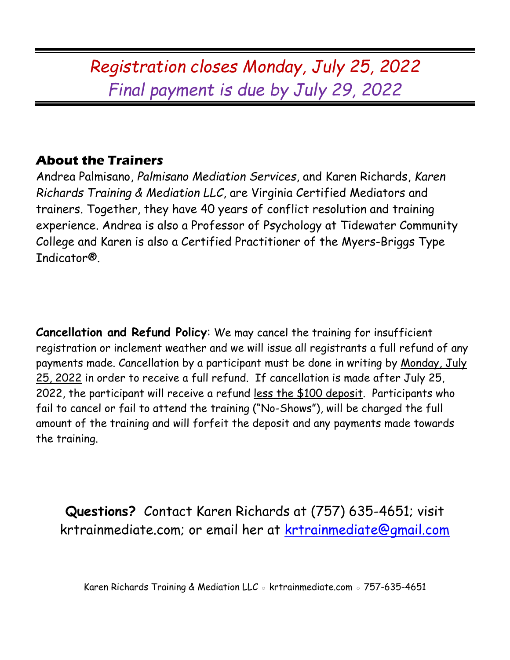## *Registration closes Monday, July 25, 2022 Final payment is due by July 29, 2022*

#### **About the Trainers**

Andrea Palmisano, *Palmisano Mediation Services*, and Karen Richards, *Karen Richards Training & Mediation LLC*, are Virginia Certified Mediators and trainers. Together, they have 40 years of conflict resolution and training experience. Andrea is also a Professor of Psychology at Tidewater Community College and Karen is also a Certified Practitioner of the Myers-Briggs Type Indicator®.

**Cancellation and Refund Policy**: We may cancel the training for insufficient registration or inclement weather and we will issue all registrants a full refund of any payments made. Cancellation by a participant must be done in writing by Monday, July 25, 2022 in order to receive a full refund. If cancellation is made after July 25, 2022, the participant will receive a refund less the \$100 deposit. Participants who fail to cancel or fail to attend the training ("No-Shows"), will be charged the full amount of the training and will forfeit the deposit and any payments made towards the training.

**Questions?** Contact Karen Richards at (757) 635-4651; visit krtrainmediate.com; or email her at [krtrainmediate@gmail.com](mailto:krtrainmediate@gmail.com)

Karen Richards Training & Mediation LLC ◦ krtrainmediate.com ◦ 757-635-4651